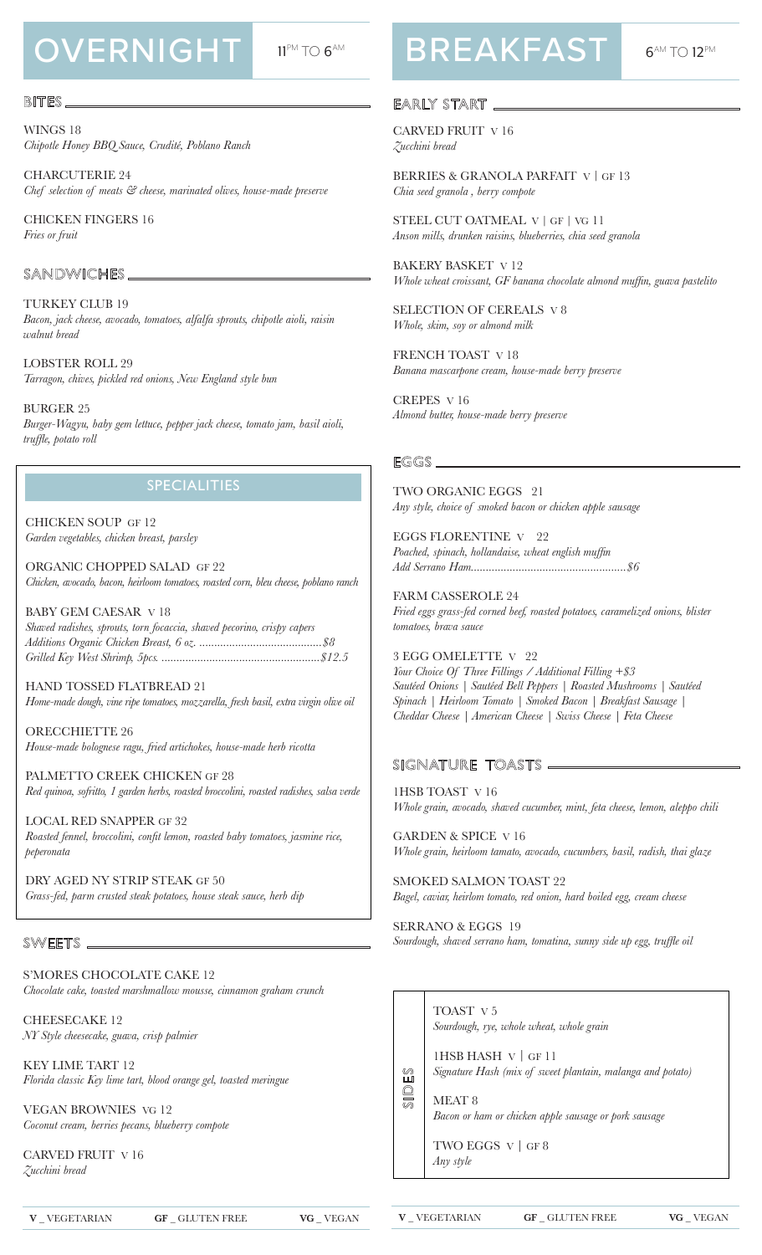# OVERNIGHT 11PM TO 6AM

### BITES.

WINGS 18 *Chipotle Honey BBQ Sauce, Crudité, Poblano Ranch* 

CHARCUTERIE 24 *Chef selection of meats & cheese, marinated olives, house-made preserve*

CHlCKEN FINGERS 16 *Fries or fruit*

### SANDWICHES\_

TURKEY CLUB 19 *Bacon, jack cheese, avocado, tomatoes, alfalfa sprouts, chipotle aioli, raisin walnut bread*

LOBSTER ROLL 29 *Tarragon, chives, pickled red onions, New England style bun*

BURGER 25 *Burger-Wagyu, baby gem lettuce, pepper jack cheese, tomato jam, basil aioli, truffle, potato roll*

### **SPECIALITIES**

CHICKEN SOUP GF 12 *Garden vegetables, chicken breast, parsley*

ORGANlC CHOPPED SALAD GF 22 *Chicken, avocado, bacon, heirloom tomatoes, roasted corn, bleu cheese, poblano ranch*

BABY GEM CAESAR V 18 *Shaved radishes, sprouts, torn focaccia, shaved pecorino, crispy capers Additions Organic Chicken Breast, 6 oz. .........................................\$8 Grilled Key West Shrimp, 5pcs. .....................................................\$12.5*

HAND TOSSED FLATBREAD 21 *Home-made dough, vine ripe tomatoes, mozzarella, fresh basil, extra virgin olive oil*

ORECCHIETTE 26 *House-made bolognese ragu, fried artichokes, house-made herb ricotta*

PALMETTO CREEK CHICKEN GF 28 *Red quinoa, sofritto, 1 garden herbs, roasted broccolini, roasted radishes, salsa verde*

LOCAL RED SNAPPER GF 32 *Roasted fennel, broccolini, confit lemon, roasted baby tomatoes, jasmine rice, peperonata*

DRY AGED NY STRIP STEAK GF 50 *Grass-fed, parm crusted steak potatoes, house steak sauce, herb dip*

### SWEETS\_

S'MORES CHOCOLATE CAKE 12 *Chocolate cake, toasted marshmallow mousse, cinnamon graham crunch*

CHEESECAKE 12 *NY Style cheesecake, guava, crisp palmier* 

KEY LIME TART 12 *Florida classic Key lime tart, blood orange gel, toasted meringue* 

VEGAN BROWNIES VG 12 *Coconut cream, berries pecans, blueberry compote*

CARVED FRUIT V 16 *Zucchini bread*

**BREAKFAST** 6AM TO 12PM

### EARLY START

CARVED FRUIT V 16 *Zucchini bread*

BERRIES & GRANOLA PARFAIT V | GF 13 *Chia seed granola , berry compote* 

STEEL CUT OATMEAL V | GF | VG 11 *Anson mills, drunken raisins, blueberries, chia seed granola* 

BAKERY BASKET V 12 *Whole wheat croissant, GF banana chocolate almond muffin, guava pastelito* 

SELECTION OF CEREALS V 8 *Whole, skim, soy or almond milk*

FRENCH TOAST V 18 *Banana mascarpone cream, house-made berry preserve*

CREPES V 16 *Almond butter, house-made berry preserve*

### EGGS\_

TWO ORGANIC EGGS 21 *Any style, choice of smoked bacon or chicken apple sausage*

EGGS FLORENTINE V 22 *Poached, spinach, hollandaise, wheat english muffin Add Serrano Ham....................................................\$6*

FARM CASSEROLE 24 *Fried eggs grass-fed corned beef, roasted potatoes, caramelized onions, blister tomatoes, brava sauce*

3 EGG OMELETTE V 22 *Your Choice Of Three Fillings / Additional Filling +\$3 Sautéed Onions | Sautéed Bell Peppers | Roasted Mushrooms | Sautéed Spinach | Heirloom Tomato | Smoked Bacon | Breakfast Sausage | Cheddar Cheese | American Cheese | Swiss Cheese | Feta Cheese*

### SIGNATURE TOASTS —

1HSB TOAST V 16 *Whole grain, avocado, shaved cucumber, mint, feta cheese, lemon, aleppo chili*

GARDEN & SPICE V 16 *Whole grain, heirloom tamato, avocado, cucumbers, basil, radish, thai glaze*

SMOKED SALMON TOAST 22 *Bagel, caviar, heirlom tomato, red onion, hard boiled egg, cream cheese*

SERRANO & EGGS 19 *Sourdough, shaved serrano ham, tomatina, sunny side up egg, truffle oil*



TOAST V 5 *Sourdough, rye, whole wheat, whole grain*

1HSB HASH V | GF 11 *Signature Hash (mix of sweet plantain, malanga and potato)*

MEAT 8 *Bacon or ham or chicken apple sausage or pork sausage*

TWO EGGS V | GF 8 *Any style*